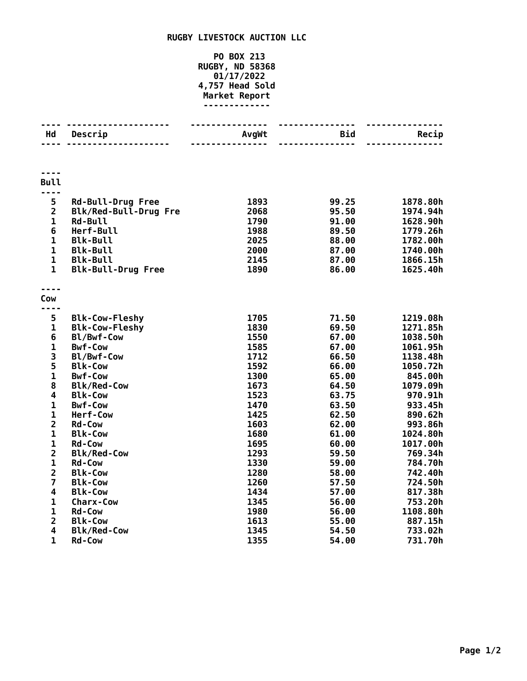## **RUGBY LIVESTOCK AUCTION LLC**

## **PO BOX 213 RUGBY, ND 58368 01/17/2022 4,757 Head Sold Market Report -------------**

| Hd                      | Descrip                   | AvgWt | Bid   | Recip    |
|-------------------------|---------------------------|-------|-------|----------|
|                         |                           |       | ----- |          |
| <b>Bull</b>             |                           |       |       |          |
| ----                    |                           |       |       |          |
| 5                       | <b>Rd-Bull-Drug Free</b>  | 1893  | 99.25 | 1878.80h |
| $\overline{2}$          | Blk/Red-Bull-Drug Fre     | 2068  | 95.50 | 1974.94h |
| $\mathbf 1$             | Rd-Bull                   | 1790  | 91.00 | 1628.90h |
| 6                       | Herf-Bull                 | 1988  | 89.50 | 1779.26h |
| $\mathbf 1$             | <b>Blk-Bull</b>           | 2025  | 88.00 | 1782.00h |
| $\mathbf 1$             | <b>Blk-Bull</b>           | 2000  | 87.00 | 1740.00h |
| $\mathbf{1}$            | <b>Blk-Bull</b>           | 2145  | 87.00 | 1866.15h |
| $\mathbf{1}$            | <b>Blk-Bull-Drug Free</b> | 1890  | 86.00 | 1625.40h |
|                         |                           |       |       |          |
| Cow<br>----             |                           |       |       |          |
| 5                       | <b>Blk-Cow-Fleshy</b>     | 1705  | 71.50 | 1219.08h |
| $\mathbf{1}$            | <b>Blk-Cow-Fleshy</b>     | 1830  | 69.50 | 1271.85h |
| 6                       | Bl/Bwf-Cow                | 1550  | 67.00 | 1038.50h |
| $\mathbf{1}$            | <b>Bwf-Cow</b>            | 1585  | 67.00 | 1061.95h |
| 3                       | Bl/Bwf-Cow                | 1712  | 66.50 | 1138.48h |
| 5                       | <b>Blk-Cow</b>            | 1592  | 66.00 | 1050.72h |
| $\mathbf{1}$            | <b>Bwf-Cow</b>            | 1300  | 65.00 | 845.00h  |
| 8                       | <b>Blk/Red-Cow</b>        | 1673  | 64.50 | 1079.09h |
| $\overline{\mathbf{4}}$ | <b>Blk-Cow</b>            | 1523  | 63.75 | 970.91h  |
| $\mathbf{1}$            | <b>Bwf-Cow</b>            | 1470  | 63.50 | 933.45h  |
| $\mathbf 1$             | Herf-Cow                  | 1425  | 62.50 | 890.62h  |
| $\overline{\mathbf{2}}$ | <b>Rd-Cow</b>             | 1603  | 62.00 | 993.86h  |
| $\mathbf{1}$            | <b>Blk-Cow</b>            | 1680  | 61.00 | 1024.80h |
| $\mathbf 1$             | <b>Rd-Cow</b>             | 1695  | 60.00 | 1017.00h |
| $\overline{\mathbf{2}}$ | <b>Blk/Red-Cow</b>        | 1293  | 59.50 | 769.34h  |
| $\mathbf{1}$            | <b>Rd-Cow</b>             | 1330  | 59.00 | 784.70h  |
| $\overline{\mathbf{c}}$ | <b>Blk-Cow</b>            | 1280  | 58.00 | 742.40h  |
| $\overline{7}$          | <b>Blk-Cow</b>            | 1260  | 57.50 | 724.50h  |
| 4                       | <b>Blk-Cow</b>            | 1434  | 57.00 | 817.38h  |
| $\mathbf 1$             | <b>Charx-Cow</b>          | 1345  | 56.00 | 753.20h  |
| $\mathbf{1}$            | <b>Rd-Cow</b>             | 1980  | 56.00 | 1108.80h |
| $\overline{2}$          | <b>Blk-Cow</b>            | 1613  | 55.00 | 887.15h  |
| 4                       | <b>Blk/Red-Cow</b>        | 1345  | 54.50 | 733.02h  |
| $\mathbf{1}$            | <b>Rd-Cow</b>             | 1355  | 54.00 | 731.70h  |